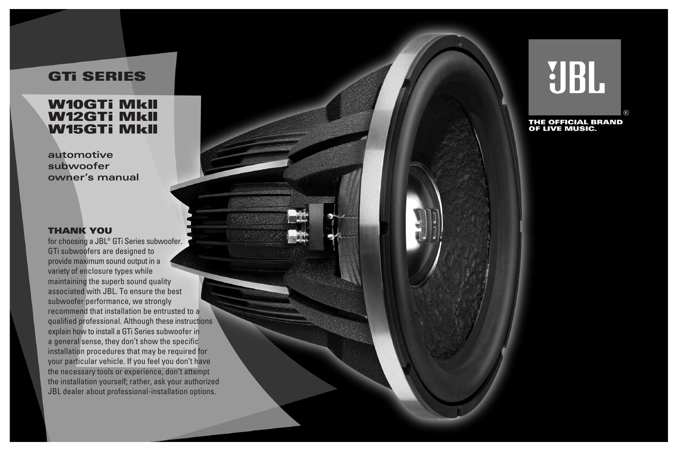# **GTi SERIES**

## **W10GTi MkII W12GTi MkII W15GTi MkII**

**automotive subwoofer owner's manual**

#### **THANK YOU**

for choosing a JBL® GTi Series subwoofer. GTi subwoofers are designed to provide maximum sound output in a variety of enclosure types while maintaining the superb sound quality associated with JBL. To ensure the best subwoofer performance, we strongly recommend that installation be entrusted to a qualified professional. Although these instructions explain how to install a GTi Series subwoofer in a general sense, they don't show the specific installation procedures that may be required for your particular vehicle. If you feel you don't have the necessary tools or experience, don't attempt the installation yourself; rather, ask your authorized JBL dealer about professional-installation options.

**UBL** 

THE OFFICIAL BRAND<br>OF LIVE MUSIC.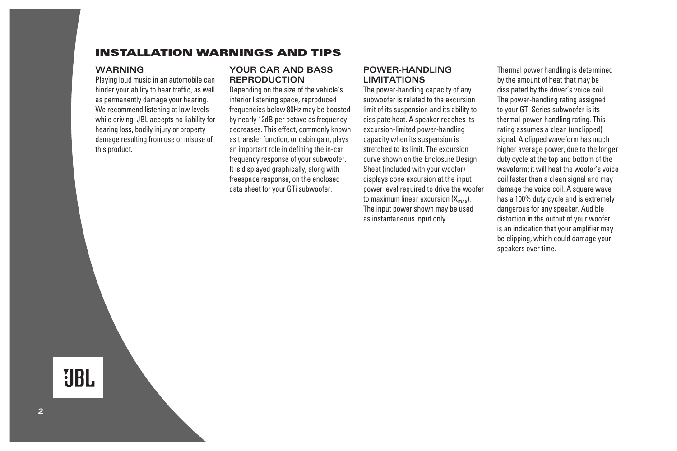### **INSTALLATION WARNINGS AND TIPS**

#### **WARNING**

Playing loud music in an automobile can hinder your ability to hear traffic, as well as permanently damage your hearing. We recommend listening at low levels while driving. JBL accepts no liability for hearing loss, bodily injury or property damage resulting from use or misuse of this product.

#### **YOUR CAR AND BASS REPRODUCTION**

Depending on the size of the vehicle's interior listening space, reproduced frequencies below 80Hz may be boosted by nearly 12dB per octave as frequency decreases. This effect, commonly known as transfer function, or cabin gain, plays an important role in defining the in-car frequency response of your subwoofer. It is displayed graphically, along with freespace response, on the enclosed data sheet for your GTi subwoofer.

#### **POWER-HANDLING LIMITATIONS**

The power-handling capacity of any subwoofer is related to the excursion limit of its suspension and its ability to dissipate heat. A speaker reaches its excursion-limited power-handling capacity when its suspension is stretched to its limit. The excursion curve shown on the Enclosure Design Sheet (included with your woofer) displays cone excursion at the input power level required to drive the woofer to maximum linear excursion  $(X_{\text{max}})$ . The input power shown may be used as instantaneous input only.

Thermal power handling is determined by the amount of heat that may be dissipated by the driver's voice coil. The power-handling rating assigned to your GTi Series subwoofer is its thermal-power-handling rating. This rating assumes a clean (unclipped) signal. A clipped waveform has much higher average power, due to the longer duty cycle at the top and bottom of the waveform; it will heat the woofer's voice coil faster than a clean signal and may damage the voice coil. A square wave has a 100% duty cycle and is extremely dangerous for any speaker. Audible distortion in the output of your woofer is an indication that your amplifier may be clipping, which could damage your speakers over time.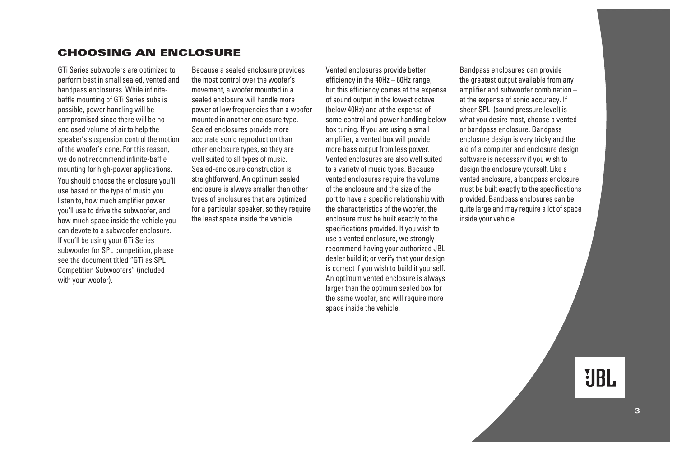### **CHOOSING AN ENCLOSURE**

GTi Series subwoofers are optimized to perform best in small sealed, vented and bandpass enclosures. While infinitebaffle mounting of GTi Series subs is possible, power handling will be compromised since there will be no enclosed volume of air to help the speaker's suspension control the motion of the woofer's cone. For this reason, we do not recommend infinite-baffle mounting for high-power applications. You should choose the enclosure you'll use based on the type of music you listen to, how much amplifier power you'll use to drive the subwoofer, and how much space inside the vehicle you can devote to a subwoofer enclosure. If you'll be using your GTi Series subwoofer for SPL competition, please see the document titled "GTi as SPL Competition Subwoofers" (included with your woofer).

Because a sealed enclosure provides the most control over the woofer's movement, a woofer mounted in a sealed enclosure will handle more power at low frequencies than a woofer mounted in another enclosure type. Sealed enclosures provide more accurate sonic reproduction than other enclosure types, so they are well suited to all types of music. Sealed-enclosure construction is straightforward. An optimum sealed enclosure is always smaller than other types of enclosures that are optimized for a particular speaker, so they require the least space inside the vehicle.

Vented enclosures provide better efficiency in the 40Hz – 60Hz range, but this efficiency comes at the expense of sound output in the lowest octave (below 40Hz) and at the expense of some control and power handling below box tuning. If you are using a small amplifier, a vented box will provide more bass output from less power. Vented enclosures are also well suited to a variety of music types. Because vented enclosures require the volume of the enclosure and the size of the port to have a specific relationship with the characteristics of the woofer, the enclosure must be built exactly to the specifications provided. If you wish to use a vented enclosure, we strongly recommend having your authorized JBL dealer build it; or verify that your design is correct if you wish to build it yourself. An optimum vented enclosure is always larger than the optimum sealed box for the same woofer, and will require more space inside the vehicle.

Bandpass enclosures can provide the greatest output available from any amplifier and subwoofer combination – at the expense of sonic accuracy. If sheer SPL (sound pressure level) is what you desire most, choose a vented or bandpass enclosure. Bandpass enclosure design is very tricky and the aid of a computer and enclosure design software is necessary if you wish to design the enclosure yourself. Like a vented enclosure, a bandpass enclosure must be built exactly to the specifications provided. Bandpass enclosures can be quite large and may require a lot of space inside your vehicle.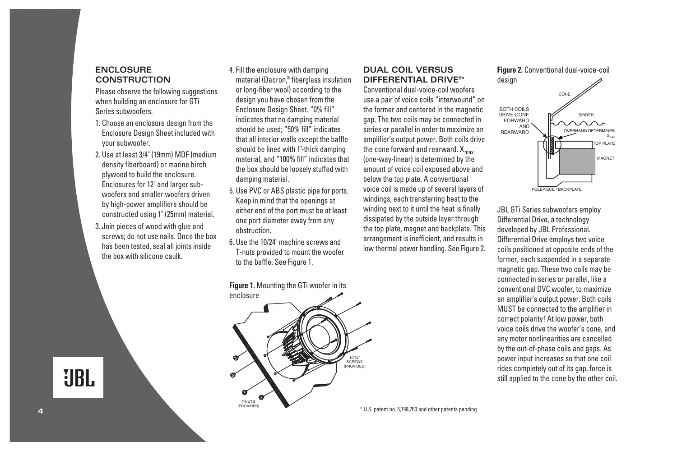#### **ENCLOSURE CONSTRUCTION**

Please observe the following suggestions when building an enclosure for GTi Series subwoofers.

- 1. Choose an enclosure design from the Enclosure Design Sheet included with your subwoofer.
- 2. Use at least 3/4" (19mm) MDF (medium density fiberboard) or marine birch plywood to build the enclosure. Enclosures for 12" and larger subwoofers and smaller woofers driven by high-power amplifiers should be constructed using 1" (25mm) material.
- 3. Join pieces of wood with glue and screws; do not use nails. Once the box has been tested, seal all joints inside the box with silicone caulk.

4. Fill the enclosure with damping material (Dacron,® fiberglass insulation or long-fiber wool) according to the design you have chosen from the Enclosure Design Sheet. "0% fill" indicates that no damping material should be used; "50% fill" indicates that all interior walls except the baffle should be lined with 1"-thick damping material, and "100% fill" indicates that the box should be loosely stuffed with damping material.

- 5. Use PVC or ABS plastic pipe for ports. Keep in mind that the openings at either end of the port must be at least one port diameter away from any obstruction.
- 6. Use the 10/24" machine screws and T-nuts provided to mount the woofer to the baffle. See Figure 1.

### **DUAL COIL VERSUS DIFFERENTIAL DRIVE®\***

Conventional dual-voice-coil woofers use a pair of voice coils "interwound" on the former and centered in the magnetic gap. The two coils may be connected in series or parallel in order to maximize an amplifier's output power. Both coils drive the cone forward and rearward.  $X_{\text{max}}$ (one-way-linear) is determined by the amount of voice coil exposed above and below the top plate. A conventional voice coil is made up of several layers of windings, each transferring heat to the winding next to it until the heat is finally dissipated by the outside layer through the top plate, magnet and backplate. This arrangement is inefficient, and results in low thermal power handling. See Figure 2.



JBL GTi Series subwoofers employ Differential Drive, a technology developed by JBL Professional. Differential Drive employs two voice coils positioned at opposite ends of the former, each suspended in a separate magnetic gap. These two coils may be connected in series or parallel, like a conventional DVC woofer, to maximize an amplifier's output power. Both coils MUST be connected to the amplifier in correct polarity! At low power, both voice coils drive the woofer's cone, and any motor nonlinearities are cancelled by the out-of-phase coils and gaps. As power input increases so that one coil rides completely out of its gap, force is still applied to the cone by the other coil.

**Figure 1.** Mounting the GTi woofer in its enclosure T-NUTS (PROVIDED) 10/24" SCREWS (PROVIDED)

**UBL** 

**4**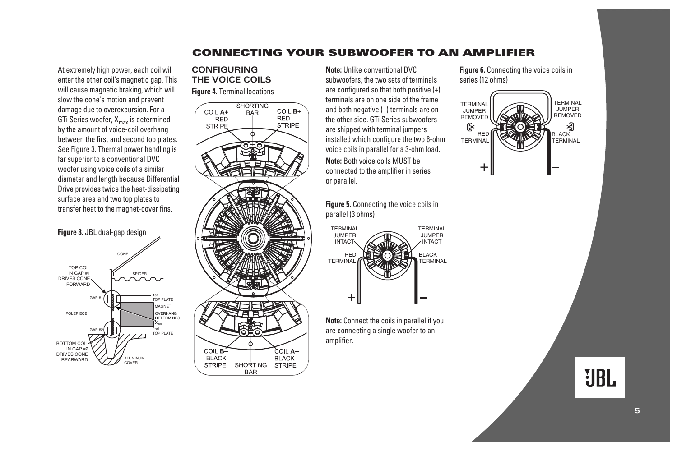### **CONNECTING YOUR SUBWOOFER TO AN AMPLIFIER**

At extremely high power, each coil will enter the other coil's magnetic gap. This will cause magnetic braking, which will slow the cone's motion and prevent damage due to overexcursion. For a GTi Series woofer,  $X_{\text{max}}$  is determined by the amount of voice-coil overhang between the first and second top plates. See Figure 3. Thermal power handling is far superior to a conventional DVC woofer using voice coils of a similar diameter and length because Differential Drive provides twice the heat-dissipating surface area and two top plates to transfer heat to the magnet-cover fins.

#### **Figure 3.** JBL dual-gap design TOP COIL IN GAP #1 DRIVES CONE FORWARD ALUMINUM **COVER** 2nd TOP PLATE 1st TOP PLATE POLEPIECE BOTTOM COIL IN GAP #2 DRIVES CONE REARWARD CONE SPIDER GAP #1 GAP #2 MAGNET OVERHANG **DETERMINES**  $X_{max}$

### **CONFIGURING THE VOICE COILS**

**Figure 4.** Terminal locations



**Note:** Unlike conventional DVC subwoofers, the two sets of terminals are configured so that both positive (+) terminals are on one side of the frame and both negative (–) terminals are on the other side. GTi Series subwoofers are shipped with terminal jumpers installed which configure the two 6-ohm voice coils in parallel for a 3-ohm load. **Note:** Both voice coils MUST be connected to the amplifier in series or parallel.

**Figure 5.** Connecting the voice coils in parallel (3 ohms)



Note: Connect the coils in parallel if you are connecting a single woofer to an amplifier.

**Figure 6.** Connecting the voice coils in series (12 ohms)

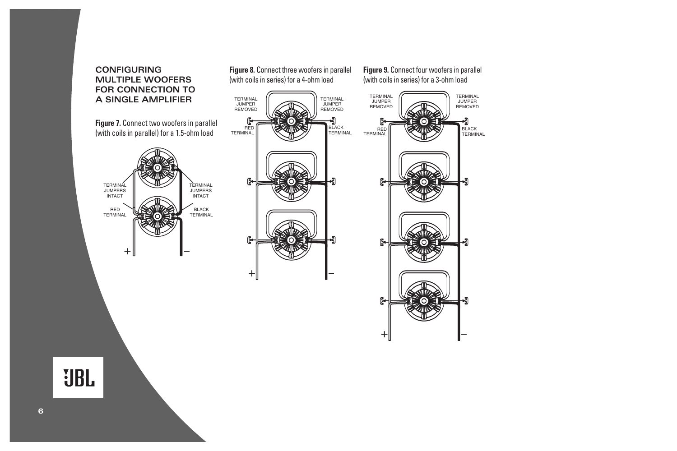#### **CONFIGURING MULTIPLE WOOFERS FOR CONNECTION TO A SINGLE AMPLIFIER**

**Figure 7.** Connect two woofers in parallel (with coils in parallel) for a 1.5-ohm load



**Figure 8.** Connect three woofers in parallel (with coils in series) for a 4-ohm load



**Figure 9.** Connect four woofers in parallel (with coils in series) for a 3-ohm load

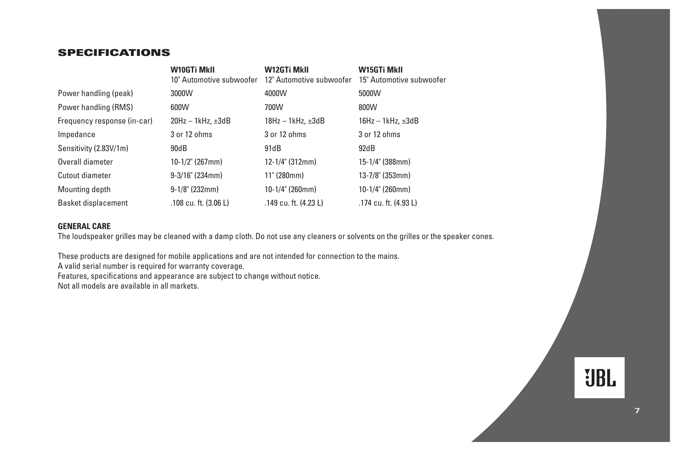### **SPECIFICATIONS**

|                             | W10GTi MkII<br>10" Automotive subwoofer | W12GTi MkII<br>12" Automotive subwoofer | W15GTi MkII<br>15" Automotive subwoofer |
|-----------------------------|-----------------------------------------|-----------------------------------------|-----------------------------------------|
| Power handling (peak)       | 3000W                                   | 4000W                                   | 5000W                                   |
| Power handling (RMS)        | 600W                                    | 700W                                    | 800W                                    |
| Frequency response (in-car) | $20$ Hz $-$ 1kHz, $\pm 3$ dB            | $18Hz - 1kHz. \pm 3dB$                  | $16Hz - 1kHz. \pm 3dB$                  |
| Impedance                   | 3 or 12 ohms                            | 3 or 12 ohms                            | 3 or 12 ohms                            |
| Sensitivity (2.83V/1m)      | 90dB                                    | 91dB                                    | 92dB                                    |
| Overall diameter            | $10-1/2$ " (267mm)                      | $12-1/4$ " (312mm)                      | 15-1/4" (388mm)                         |
| Cutout diameter             | $9-3/16$ " (234mm)                      | 11" (280mm)                             | $13-7/8$ " (353mm)                      |
| Mounting depth              | $9-1/8$ " (232mm)                       | 10-1/4" (260mm)                         | $10-1/4$ " (260mm)                      |
| <b>Basket displacement</b>  | .108 cu. ft. (3.06 L)                   | .149 cu. ft. (4.23 L)                   | .174 cu. ft. (4.93 L)                   |

#### **GENERAL CARE**

The loudspeaker grilles may be cleaned with a damp cloth. Do not use any cleaners or solvents on the grilles or the speaker cones.

These products are designed for mobile applications and are not intended for connection to the mains.

A valid serial number is required for warranty coverage.

Features, specifications and appearance are subject to change without notice.

Not all models are available in all markets.